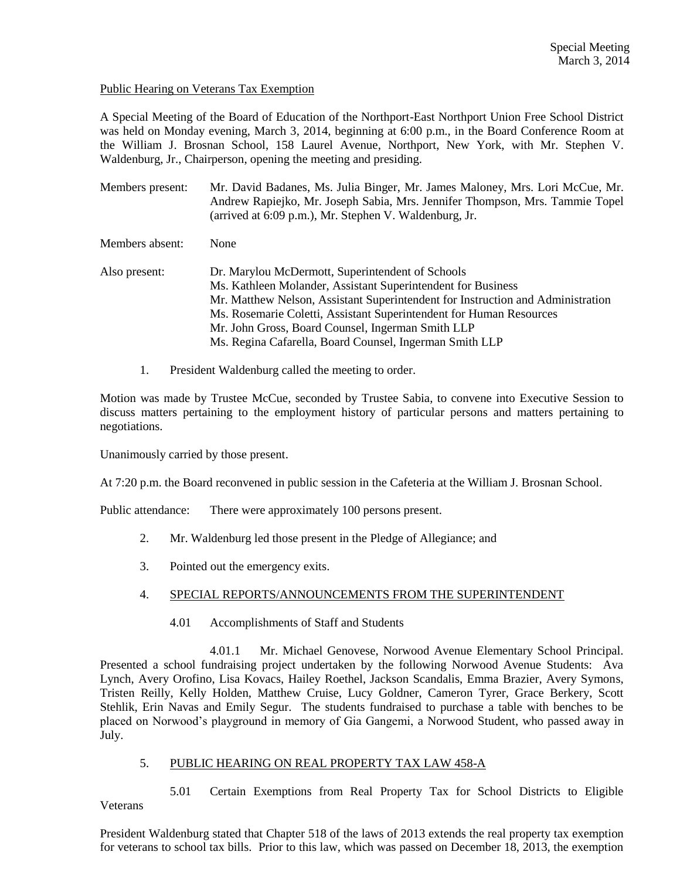## Public Hearing on Veterans Tax Exemption

A Special Meeting of the Board of Education of the Northport-East Northport Union Free School District was held on Monday evening, March 3, 2014, beginning at 6:00 p.m., in the Board Conference Room at the William J. Brosnan School, 158 Laurel Avenue, Northport, New York, with Mr. Stephen V. Waldenburg, Jr., Chairperson, opening the meeting and presiding.

Members present: Mr. David Badanes, Ms. Julia Binger, Mr. James Maloney, Mrs. Lori McCue, Mr. Andrew Rapiejko, Mr. Joseph Sabia, Mrs. Jennifer Thompson, Mrs. Tammie Topel (arrived at 6:09 p.m.), Mr. Stephen V. Waldenburg, Jr.

Members absent: None

- Also present: Dr. Marylou McDermott, Superintendent of Schools Ms. Kathleen Molander, Assistant Superintendent for Business Mr. Matthew Nelson, Assistant Superintendent for Instruction and Administration Ms. Rosemarie Coletti, Assistant Superintendent for Human Resources Mr. John Gross, Board Counsel, Ingerman Smith LLP Ms. Regina Cafarella, Board Counsel, Ingerman Smith LLP
	- 1. President Waldenburg called the meeting to order.

Motion was made by Trustee McCue, seconded by Trustee Sabia, to convene into Executive Session to discuss matters pertaining to the employment history of particular persons and matters pertaining to negotiations.

Unanimously carried by those present.

At 7:20 p.m. the Board reconvened in public session in the Cafeteria at the William J. Brosnan School.

Public attendance: There were approximately 100 persons present.

- 2. Mr. Waldenburg led those present in the Pledge of Allegiance; and
- 3. Pointed out the emergency exits.

## 4. SPECIAL REPORTS/ANNOUNCEMENTS FROM THE SUPERINTENDENT

4.01 Accomplishments of Staff and Students

4.01.1 Mr. Michael Genovese, Norwood Avenue Elementary School Principal. Presented a school fundraising project undertaken by the following Norwood Avenue Students: Ava Lynch, Avery Orofino, Lisa Kovacs, Hailey Roethel, Jackson Scandalis, Emma Brazier, Avery Symons, Tristen Reilly, Kelly Holden, Matthew Cruise, Lucy Goldner, Cameron Tyrer, Grace Berkery, Scott Stehlik, Erin Navas and Emily Segur. The students fundraised to purchase a table with benches to be placed on Norwood's playground in memory of Gia Gangemi, a Norwood Student, who passed away in July.

## 5. PUBLIC HEARING ON REAL PROPERTY TAX LAW 458-A

5.01 Certain Exemptions from Real Property Tax for School Districts to Eligible Veterans

President Waldenburg stated that Chapter 518 of the laws of 2013 extends the real property tax exemption for veterans to school tax bills. Prior to this law, which was passed on December 18, 2013, the exemption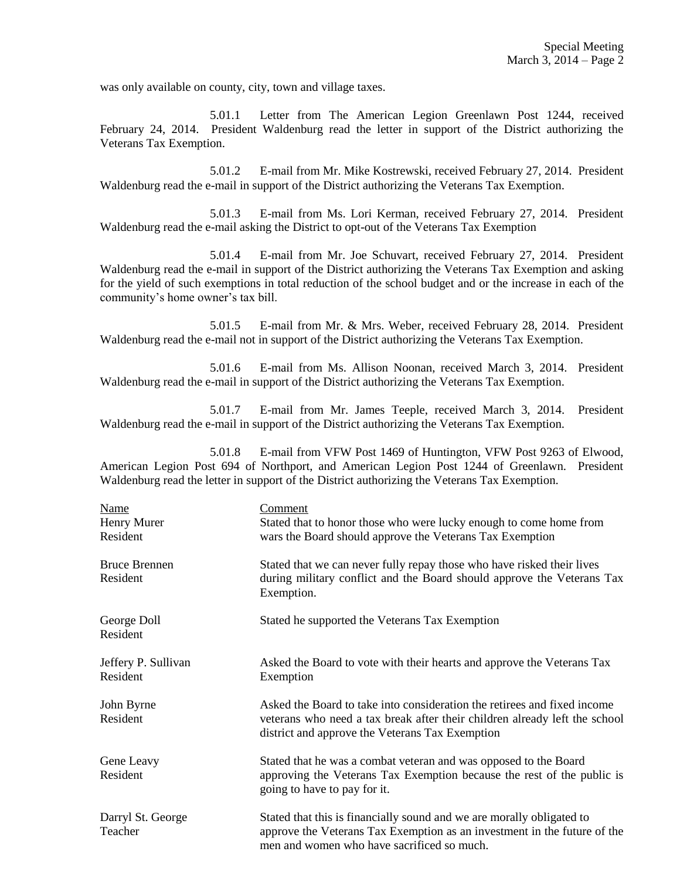was only available on county, city, town and village taxes.

5.01.1 Letter from The American Legion Greenlawn Post 1244, received February 24, 2014. President Waldenburg read the letter in support of the District authorizing the Veterans Tax Exemption.

5.01.2 E-mail from Mr. Mike Kostrewski, received February 27, 2014. President Waldenburg read the e-mail in support of the District authorizing the Veterans Tax Exemption.

5.01.3 E-mail from Ms. Lori Kerman, received February 27, 2014. President Waldenburg read the e-mail asking the District to opt-out of the Veterans Tax Exemption

5.01.4 E-mail from Mr. Joe Schuvart, received February 27, 2014. President Waldenburg read the e-mail in support of the District authorizing the Veterans Tax Exemption and asking for the yield of such exemptions in total reduction of the school budget and or the increase in each of the community's home owner's tax bill.

5.01.5 E-mail from Mr. & Mrs. Weber, received February 28, 2014. President Waldenburg read the e-mail not in support of the District authorizing the Veterans Tax Exemption.

5.01.6 E-mail from Ms. Allison Noonan, received March 3, 2014. President Waldenburg read the e-mail in support of the District authorizing the Veterans Tax Exemption.

5.01.7 E-mail from Mr. James Teeple, received March 3, 2014. President Waldenburg read the e-mail in support of the District authorizing the Veterans Tax Exemption.

5.01.8 E-mail from VFW Post 1469 of Huntington, VFW Post 9263 of Elwood, American Legion Post 694 of Northport, and American Legion Post 1244 of Greenlawn. President Waldenburg read the letter in support of the District authorizing the Veterans Tax Exemption.

| Name<br>Henry Murer<br>Resident  | <u>Comment</u><br>Stated that to honor those who were lucky enough to come home from<br>wars the Board should approve the Veterans Tax Exemption                                                          |
|----------------------------------|-----------------------------------------------------------------------------------------------------------------------------------------------------------------------------------------------------------|
| <b>Bruce Brennen</b><br>Resident | Stated that we can never fully repay those who have risked their lives<br>during military conflict and the Board should approve the Veterans Tax<br>Exemption.                                            |
| George Doll<br>Resident          | Stated he supported the Veterans Tax Exemption                                                                                                                                                            |
| Jeffery P. Sullivan<br>Resident  | Asked the Board to vote with their hearts and approve the Veterans Tax<br>Exemption                                                                                                                       |
| John Byrne<br>Resident           | Asked the Board to take into consideration the retirees and fixed income<br>veterans who need a tax break after their children already left the school<br>district and approve the Veterans Tax Exemption |
| Gene Leavy<br>Resident           | Stated that he was a combat veteran and was opposed to the Board<br>approving the Veterans Tax Exemption because the rest of the public is<br>going to have to pay for it.                                |
| Darryl St. George<br>Teacher     | Stated that this is financially sound and we are morally obligated to<br>approve the Veterans Tax Exemption as an investment in the future of the<br>men and women who have sacrificed so much.           |